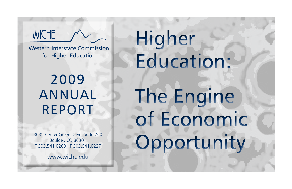Western Interstate Commission for Higher Education

**WICHE** 

2009 Annual Report

Higher Education: The Engine of Economic Opportunity

3035 Center Green Drive, Suite 200 Boulder, CO 80301 T 303.541.0200 F 303.541.0227

www.wiche.edu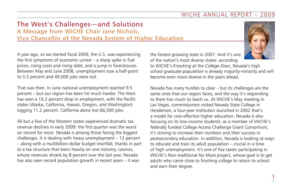# The West's Challenges—and Solutions A Message from WICHE Chair Jane Nichols, Vice Chancellor of the Nevada System of Higher Education

A year ago, as we started fiscal 2009, the U.S. was experiencing the first symptoms of economic unrest – a sharp spike in fuel prices, rising costs and rising debt, and a jump in foreclosures. Between May and June 2008, unemployment rose a half-point to 5.5 percent and 49,000 jobs were lost.

That was then. In June national unemployment reached 9.5 percent – but our region has been hit much harder. The West has seen a 10.2 percent drop in employment, with the Pacific states (Alaska, California, Hawaii, Oregon, and Washington) logging 11.2 percent. California alone lost 66,500 jobs.

All but a few of the Western states experienced dramatic tax revenue declines in early 2009: the first quarter was the worst on record for most. Nevada is among those facing the biggest challenges. It is dealing with heavy unemployment – 12 percent – along with a multibillion-dollar budget shortfall, thanks in part to a tax structure that leans heavily on one industry, casinos, whose revenues shrank by 8 percent over the last year. Nevada has also seen record population growth in recent years – it was

the fastest-growing state in 2007. And it's one of the nation's most diverse states: according

to WICHE's *Knocking at the College Door*, Nevada's high school graduate population is already majority-minority and will become even more diverse in the years ahead.

Nevada has many hurdles to clear – but its challenges are the same ones that our region faces, and the way it's responding to them has much to teach us. At WICHE's May meeting in Las Vegas, commissioners visited Nevada State College in Henderson, a four-year institution launched in 2002 that's a model for cost-effective higher education. Nevada is also focusing on its low-income students: as a member of WICHE's federally funded College Access Challenge Grant Consortium, it's striving to increase their numbers and their success in postsecondary education. In addition, Nevada is looking at ways to educate and train its adult population – crucial in a time of high unemployment. It's one of five states participating in WICHE's Non-traditional No More project, whose goal is to get adults who came close to finishing college to return to school and earn their degree.

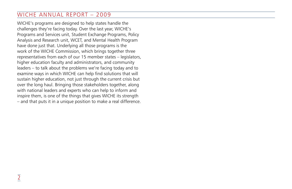WICHE's programs are designed to help states handle the challenges they're facing today. Over the last year, WICHE's Programs and Services unit, Student Exchange Programs, Policy Analysis and Research unit, WCET, and Mental Health Program have done just that. Underlying all those programs is the work of the WICHE Commission, which brings together three representatives from each of our 15 member states – legislators, higher education faculty and administrators, and community leaders – to talk about the problems we're facing today and to examine ways in which WICHE can help find solutions that will sustain higher education, not just through the current crisis but over the long haul. Bringing those stakeholders together, along with national leaders and experts who can help to inform and inspire them, is one of the things that gives WICHE its strength – and that puts it in a unique position to make a real difference.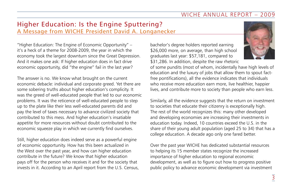# Higher Education: Is the Engine Sputtering? A Message from WICHE President David A. Longanecker

"Higher Education: The Engine of Economic Opportunity" – it's a heck of a theme for 2008-2009, the year in which the economy took the largest downturn since the Great Depression. And it makes one ask: If higher education does in fact drive economic opportunity, did "the engine" fail in the last year?

The answer is no. We know what brought on the current economic debacle: individual and corporate greed. Yet there are some sobering truths about higher education's complicity. It was the greed of well-educated people that led to our economic problems. It was the reticence of well-educated people to step up to the plate like their less well-educated parents did and pay the level of taxes necessary to advance civilized society that contributed to this mess. And higher education's insatiable appetite for more resources without doubt contributed to the economic squeeze play in which we currently find ourselves.

Still, higher education does indeed serve as a powerful engine of economic opportunity. How has this been actualized in the West over the past year, and how can higher education contribute in the future? We know that higher education pays off for the person who receives it and for the society that invests in it. According to an April report from the U.S. Census, bachelor's degree holders reported earning \$26,000 more, on average, than high school graduates last year: \$57,181, compared to \$31,286. In addition, despite the raw rhetoric

of some pundits (most of whom, incidentally have high levels of education and the luxury of jobs that allow them to spout factfree pontifications), all the evidence indicates that individuals who receive more education earn more, live healthier, happier lives, and contribute more to society than people who earn less.

Similarly, all the evidence suggests that the return on investment to societies that educate their citizenry is exceptionally high. The rest of the world recognizes this: many other developed and developing economies are increasing their investments in education today. Indeed, 10 countries exceed the U.S. in the share of their young adult population (aged 25 to 34) that has a college education. A decade ago only one fared better.

Over the past year WICHE has dedicated substantial resources to helping its 15 member states recognize the increased importance of higher education to regional economic development, as well as to figure out how to progress positive public policy to advance economic development via investment

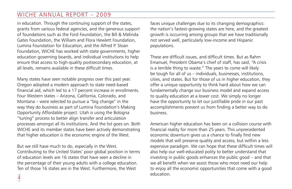in education. Through the continuing support of the states, grants from various federal agencies, and the generous support of foundations such as the Ford Foundation, the Bill & Melinda Gates Foundation, the William and Flora Hewlett Foundation, Lumina Foundation for Education, and the Alfred P. Sloan Foundation, WICHE has worked with state governments, higher education governing boards, and individual institutions to help ensure that access to high-quality postsecondary education, at all levels, remains available in these difficult times.

Many states have seen notable progress over this past year. Oregon adopted a modern approach to state need-based financial aid, which led to a 17 percent increase in enrollments. Four Western states – Arizona, California, Colorado, and Montana – were selected to pursue a "big change" in the way they do business as part of Lumina Foundation's Making Opportunity Affordable project. Utah is using the Bologna "tuning" process to better align transfer and articulation processes amongst all its institutions. And the list goes on. Both WICHE and its member states have been actively demonstrating that higher education is the economic engine of the West.

But we still have much to do, especially in the West. Contributing to the United States' poor global position in terms of education levels are 16 states that have seen a decline in the percentage of their young adults with a college education. Ten of those 16 states are in the West. Furthermore, the West

faces unique challenges due to its changing demographics: the nation's fastest-growing states are here, and the greatest growth is occurring among groups that we have traditionally not served well, particularly low-income and Hispanic populations.

These are difficult issues, and difficult times. But as Rahm Emanuel, President Obama's chief of staff, has said, "A crisis is a terrible thing to waste." The years to come will likely be tough for all of us – individuals, businesses, institutions, cities, and states. But for those of us in higher education, they offer a unique opportunity to think hard about how we can fundamentally change our business model and expand access to quality education at a lower cost. We simply no longer have the opportunity to let our justifiable pride in our past accomplishments prevent us from finding a better way to do business.

American higher education has been on a collision course with financial reality for more than 25 years. This unprecedented economic downturn gives us a chance to finally find new models that will preserve quality and access, but within a less expensive paradigm. We can hope that these difficult times will also help our well-educated polity to better understand that investing in public goods enhances the public good – and that we all benefit when we assist those who most need our help to enjoy all the economic opportunities that come with a good education.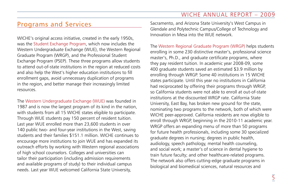# Programs and Services

WICHE's original access initiative, created in the early 1950s, was the Student Exchange Program, which now includes the Western Undergraduate Exchange (WUE), the Western Regional Graduate Program (WRGP), and the Professional Student Exchange Program (PSEP). These three programs allow students to attend out-of-state institutions in the region at reduced costs and also help the West's higher education institutions to fill enrollment gaps, avoid unnecessary duplication of programs in the region, and better manage their increasingly limited resources.

The Western Undergraduate Exchange (WUE) was founded in 1987 and is now the largest program of its kind in the nation, with students from all 15 WICHE states eligible to participate. Through WUE students pay 150 percent of resident tuition. Last year WUE enrolled more than 23,600 students in over 140 public two- and four-year institutions in the West, saving students and their families \$151.1 million. WICHE continues to encourage more institutions to join WUE and has expanded its outreach efforts by working with Western regional associations of high school counselors. Colleges and universities can tailor their participation (including admission requirements and available programs of study) to their individual campus needs. Last year WUE welcomed California State University,

Sacramento, and Arizona State University's West Campus in Glendale and Polytechnic Campus/College of Technology and Innovation in Mesa into the WUE network.

The Western Regional Graduate Program (WRGP) helps students enrolling in some 230 distinctive master's, professional science master's, Ph.D., and graduate certificate programs, where they pay resident tuition. In academic year 2008-09, some 400 graduate students saved an estimated \$3.9 million by enrolling through WRGP. Some 40 institutions in 15 WICHE states participate. Until this year no institutions in California had reciprocated by offering their programs through WRGP, so California students were not able to enroll at out-of-state institutions at the discounted WRGP rate. California State University, East Bay, has broken new ground for the state, nominating two programs to the network, both of which were WICHE peer-approved. California residents are now eligible to enroll through WRGP, beginning in the 2010-11 academic year. WRGP offers an expanding menu of more than 50 programs for future health professionals, including some 30 specialized graduate degrees in nursing; degrees in public health, audiology, speech pathology, mental health counseling, and social work; a master's of science in dental hygiene to train future faculty; and other healthcare-related programs. The network also offers cutting-edge graduate programs in biological and biomedical sciences, natural resources and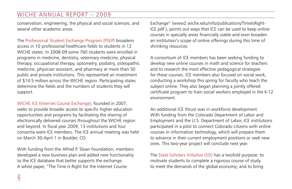conservation, engineering, the physical and social sciences, and several other academic areas.

The Professional Student Exchange Program (PSEP) broadens access in 10 professional healthcare fields to students in 12 WICHE states. In 2008-09 some 760 students were enrolled in programs in medicine, dentistry, veterinary medicine, physical therapy, occupational therapy, optometry, podiatry, osteopathic medicine, physician assistant, and pharmacy at more than 50 public and private institutions. This represented an investment of \$14.5 million across the WICHE region. Participating states determine the fields and the numbers of students they will support.

WICHE ICE (Internet Course Exchange), founded in 2007, seeks to provide broader access to specific higher education opportunities and programs by facilitating the sharing of electronically delivered courses throughout the WICHE region and beyond. In fiscal year 2009, 13 institutions and four consortia were ICE members. The ICE annual meeting was held on March 30-April 1 in Boulder, CO.

With funding from the Alfred P. Sloan Foundation, members developed a new business plan and added new functionality to the ICE database that better supports the exchange. A white paper, "The Time Is Right for the Internet Course

Exchange" (www2.wiche.edu/info/publications/TimeIsRight-ICE.pdf ), points out ways that ICE can be used to keep online courses in specialty areas financially viable and even broaden an institution's scope of online offerings during this time of shrinking resources.

A consortium of ICE members has been seeking funding to develop new online courses in math and science for teachers and to research the most effective pedagogical strategies for these courses. ICE members also focused on social work, conducting a workshop this spring for faculty who teach the subject online. They also began planning a jointly offered certificate program to train social workers employed in the K-12 environment.

An additional ICE thrust was in workforce development. With funding from the Colorado Department of Labor and Employment and the U.S. Department of Labor, ICE institutions participated in a pilot to connect Colorado citizens with online courses in information technology, which will prepare them to advance in their current employment positions or seek new ones. This two-year project will conclude next year.

The State Scholars Initiative (SSI) has a twofold purpose: to motivate students to complete a rigorous course of study to meet the demands of the global economy; and to bring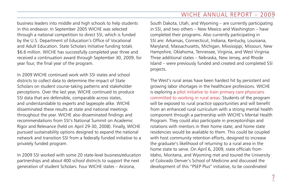business leaders into middle and high schools to help students in this endeavor. In September 2005 WICHE was selected through a national competition to direct SSI, which is funded by the U.S. Department of Education's Office of Vocational and Adult Education. State Scholars Initiative funding totals \$6.6 million. WICHE has successfully completed year three and received a continuation award through September 30, 2009, for year four, the final year of the program.

In 2009 WICHE continued work with SSI states and school districts to collect data to determine the impact of State Scholars on student course-taking patterns and stakeholder perceptions. Over the last year, WICHE continued to produce SSI data that are defensible, comparable across states, and understandable to experts and laypeople alike. WICHE disseminated these results at state and national meetings throughout the year. WICHE also disseminated findings and recommendations from SSI's National Summit on Academic Rigor and Relevance (held on April 29-30, 2008). Finally, WICHE pursued sustainability options designed to expand the national network and transition SSI from a federally funded initiative to a privately funded program.

In 2009 SSI worked with some 20 state-level business/education partnerships and about 400 school districts to support the next generation of student Scholars. Four WICHE states – Arizona,

South Dakota, Utah, and Wyoming – are currently participating in SSI, and two others – New Mexico and Washington – have completed their programs. Also currently participating in SSI are: Arkansas, Connecticut, Indiana, Kentucky, Louisiana, Maryland, Massachusetts, Michigan, Mississippi, Missouri, New Hampshire, Oklahoma, Tennessee, Virginia, and West Virginia. Three additional states – Nebraska, New Jersey, and Rhode Island – were previously funded and created and completed SSI projects.

The West's rural areas have been hardest hit by persistent and growing labor shortages in the healthcare professions. WICHE is exploring a pilot initiative to train primary care physicians committed to working in rural areas. Students of the program will be exposed to rural practice opportunities and will benefit from an enhanced rural curriculum with a strong mental health component through a partnership with WICHE's Mental Health Program. They could also participate in preceptorships and rotations with mentors in their home state; and home state residencies would be available to them. This could be coupled with host community retention efforts, designed to increase the graduate's likelihood of returning to a rural area in the home state to serve. On April 6, 2009, state officials from Idaho, Montana, and Wyoming met and toured the University of Colorado Denver's School of Medicine and discussed the development of this "PSEP Plus" initiative, to be coordinated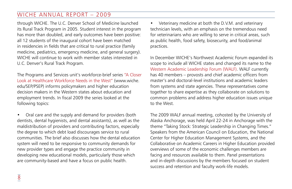through WICHE. The U.C. Denver School of Medicine launched its Rural Track Program in 2005. Student interest in the program has more than doubled, and early outcomes have been positive: all 12 students of the inaugural cohort have been matched in residencies in fields that are critical to rural practice (family medicine, pediatrics, emergency medicine, and general surgery). WICHE will continue to work with member states interested in U.C. Denver's Rural Track Program.

The Programs and Services unit's workforce-brief series "A Closer Look at Healthcare Workforce Needs in the West" (www.wiche. edu/SEP/PSEP) informs policymakers and higher education decision makers in the Western states about education and employment trends. In fiscal 2009 the series looked at the following topics:

• Oral care and the supply and demand for providers (both dentists, dental hygienists, and dental assistants), as well as the maldistribution of providers and contributing factors, especially the degree to which debt load discourages service to rural communities. The brief also discusses how the dental education system will need to be responsive to community demands for new provider types and engage the practice community in developing new educational models, particularly those which are community-based and have a focus on public health.

Veterinary medicine at both the D.V.M. and veterinary technician levels, with an emphasis on the tremendous need for veterinarians who are willing to serve in critical areas, such as public health, food safety, biosecurity, and food/animal practices.

In December WICHE's Northwest Academic Forum expanded its scope to include all WICHE states and changed its name to the Western Academic Leadership Forum (WALF). WALF currently has 40 members – provosts and chief academic officers from master's and doctoral-level institutions and academic leaders from systems and state agencies. These representatives come together to share expertise as they collaborate on solutions to common problems and address higher education issues unique to the West.

The 2009 WALF annual meeting, cohosted by the University of Alaska Anchorage, was held April 22-24 in Anchorage with the theme "Taking Stock: Strategic Leadership in Changing Times." Speakers from the American Council on Education, the National Center for Higher Education Management Systems, and the Collaborative on Academic Careers in Higher Education provided overviews of some of the economic challenges members are facing and resources available to them. Panel presentations and in-depth discussions by the members focused on student success and retention and faculty work-life models.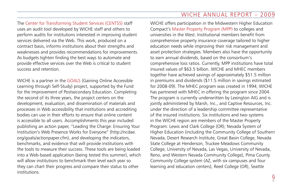The Center for Transforming Student Services (CENTSS) staff uses an audit tool developed by WICHE staff and others to perform audits for institutions interested in improving student services delivered via the Web. This work, produced on a contract basis, informs institutions about their strengths and weaknesses and provides recommendations for improvements. As budgets tighten finding the best ways to automate and provide effective services over the Web is critical to student success and retention.

WICHE is a partner in the GOALS (Gaining Online Accessible Learning through Self-Study) project, supported by the Fund for the Improvement of Postsecondary Education. Completing the second of its three years, the project centers on the development, evaluation, and dissemination of materials and processes in Web accessibility that institutions and accrediting bodies can use in their efforts to ensure that online content is accessible to all users. Accomplishments this year included publishing an action paper, "Leading the Charge: Ensuring Your Institution's Web Presence Works for Everyone" (http://ncdae. org/goals/actionpaper.cfm), and developing the indicators, benchmarks, and evidence that will provide institutions with the tools to measure their success. These tools are being loaded into a Web-based application (being tested this summer), which will allow institutions to benchmark their level each year so they can chart their progress and compare their status to other institutions.

WICHE offers participation in the Midwestern Higher Education Compact's Master Property Program (MPP) to colleges and universities in the West. Institutional members benefit from comprehensive property insurance coverage tailored to higher education needs while improving their risk management and asset protection strategies. Members also have the opportunity to earn annual dividends, based on the consortium's comprehensive loss ratios. Currently, MPP institutions have total insured values of \$63.5 billion. WICHE and MHEC members together have achieved savings of approximately \$51.5 million in premiums and dividends (\$11.5 million in savings estimated for 2008-09). The MHEC program was created in 1994; WICHE has partnered with MHEC in offering the program since 2004. The program is currently underwritten by Lexington AIG and is jointly administered by Marsh, Inc., and Captive Resources, Inc. under the direction of a leadership committee representative of the insured institutions. Six institutions and two systems in the WICHE region are members of the Master Property Program: Lewis and Clark College (OR); Nevada System of Higher Education (including the Community College of Southern Nevada, Desert Research Institute, Great Basin College, Nevada State College at Henderson, Truckee Meadows Community College, University of Nevada, Las Vegas, University of Nevada, Reno, and Western Nevada Community College), Pima County Community College system (AZ, with six campuses and four learning and education centers), Reed College (OR), Seattle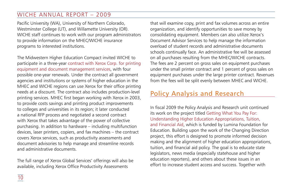Pacific University (WA), University of Northern Colorado, Westminster College (UT), and Willamette University (OR). WICHE staff continues to work with our program administrators to provide information on the MHEC/WICHE insurance programs to interested institutions.

The Midwestern Higher Education Compact invited WICHE to participate in a three-year contract with Xerox Corp. for printing equipment and document management services, with four possible one-year renewals. Under the contract all government agencies and institutions or systems of higher education in the MHEC and WICHE regions can use Xerox for their office printing needs at a discount. The contract also includes production-level printing services. MHEC first began working with Xerox in 2003, to provide costs savings and printing product improvements to colleges and universities in its region; it later conducted a national RFP process and negotiated a second contract with Xerox that takes advantage of the power of collective purchasing. In addition to hardware – including multifunction devices, laser printers, copiers, and fax machines – the contract covers Xerox services, such as productivity assessments and document advisories to help manage and streamline records and administrative documents.

The full range of Xerox Global Services' offerings will also be available, including Xerox Office Productivity Assessments

that will examine copy, print and fax volumes across an entire organization, and identify opportunities to save money by consolidating equipment. Members can also utilize Xerox's Document Advisor Services to help manage the information overload of student records and administrative documents schools continually face. An administrative fee will be assessed on all purchases resulting from the MHEC/WICHE contracts. The fees are 2 percent on gross sales on equipment purchases under the small printer contract and 1 percent of gross sales on equipment purchases under the large printer contract. Revenues from the fees will be split evenly between MHEC and WICHE.

# Policy Analysis and Research

In fiscal 2009 the Policy Analysis and Research unit continued its work on the project titled Getting What You Pay For: Understanding Higher Education Appropriations, Tuition, and Financial Aid, which is funded by Lumina Foundation for Education. Building upon the work of the Changing Direction project, this effort is designed to promote informed decision making and the alignment of higher education appropriations, tuition, and financial aid policy. The goal is to educate state legislators, news media (especially statehouse and higher education reporters), and others about these issues in an effort to increase student access and success. Together with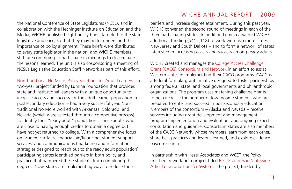the National Conference of State Legislatures (NCSL), and in collaboration with the Hechinger Institute on Education and the Media, WICHE published eight policy briefs targeted to the state legislative audience, so that they may better understand the importance of policy alignment. These briefs were distributed to every state legislator in the nation, and WICHE members staff are continuing to participate in meetings to disseminate the lessons learned. The unit is also cosponsoring a meeting of NCSL's Legislative Education Staff Network as part of this effort.

Non-traditional No More: Policy Solutions for Adult Learners – a two-year project funded by Lumina Foundation that provides state and institutional leaders with a unique opportunity to increase access and success for the adult learner population in postsecondary education – had a very successful year. Nontraditional No More worked with Arkansas, Colorado, and Nevada (which were selected through a competitive process) to identify their "ready adult" population – those adults who are close to having enough credits to obtain a degree but have not yet returned to college. With a comprehensive focus on academic affairs, financial aid/financing, student support services, and communications (marketing and information strategies designed to reach out to the ready adult population), participating states identified barriers in both policy and practice that hampered these students from completing their degrees. Now, states are implementing ways to reduce those

barriers and increase degree attainment. During this past year, WICHE convened the second round of meetings in each of the three participating states. In addition Lumina awarded WICHE additional funding (\$412,118) to work with two more states – New Jersey and South Dakota – and to form a network of states interested in increasing access and success among ready adults.

WICHE created and manages the College Access Challenge Grant (CACG) Consortium and Network in an effort to assist Western states in implementing their CACG programs. CACG is a federal formula-grant initiative designed to foster partnerships among federal, state, and local governments and philanthropic organizations. The program uses matching challenge grants to help increase the number of low-income students who are prepared to enter and succeed in postsecondary education. Members of the consortium – Alaska and Nevada – receive services including grant development and management, program implementation and evaluation, and ongoing expert consultation and guidance. Consortium states are also members of the CACG Network, whose members learn from each other, share best practices and lessons learned, and explore evidencebased research.

In partnership with Hezel Associates and WCET, the Policy unit began work on a project titled Best Practices in Statewide Articulation and Transfer Systems. The project, funded by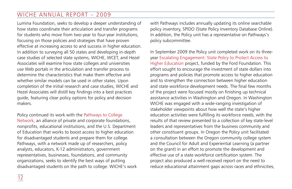Lumina Foundation, seeks to develop a deeper understanding of how states coordinate their articulation and transfer programs for students who move from two-year to four-year institutions, focusing on those policies and strategies that have proven effective at increasing access to and success in higher education. In addition to surveying all 50 states and developing in-depth case studies of selected state systems, WICHE, WCET, and Hezel Associates will examine how state colleges and universities use Web portals in the articulation and transfer process to determine the characteristics that make them effective and whether similar models can be used in other states. Upon completion of the initial research and case studies, WICHE and Hezel Associates will distill key findings into a best practices guide, featuring clear policy options for policy and decision makers.

Policy continued its work with the Pathways to College Network, an alliance of private and corporate foundations, nonprofits, educational institutions, and the U.S. Department of Education that works to boost access to higher education for disadvantaged students and prepare them for college. Pathways, with a network made up of researchers, policy analysts, educators, K-12 administrators, government representatives, businesses, foundations, and community organizations, seeks to identify the best ways of putting disadvantaged students on the path to college. WICHE's work with Pathways includes annually updating its online searchable policy inventory, SPIDO (State Policy Inventory Database Online). In addition, the Policy unit has a representative on Pathways's policy subcommittee.

In September 2009 the Policy unit completed work on its threeyear Escalating Engagement: State Policy to Protect Access to Higher Education project, funded by the Ford Foundation. This effort sought to encourage the investment of state dollars into programs and policies that promote access to higher education and to strengthen the connection between higher education and state workforce development needs. The final few months of the project were focused mostly on finishing up technical assistance activities in Washington and Oregon. In Washington WICHE was engaged with a wide-ranging investigation of stakeholder viewpoints about how well the state's higher education activities were fulfilling its workforce needs, with the results of that review presented to a collection of key state-level leaders and representatives from the business community and other constituent groups. In Oregon the Policy unit facilitated a consultation between the Oregon community college system and the Council for Adult and Experiential Learning (a partner on the grant) in an effort to promote the development and effective use of a state workforce certification system. The project also produced a well-received report on the need to reduce educational attainment gaps across races and ethnicities,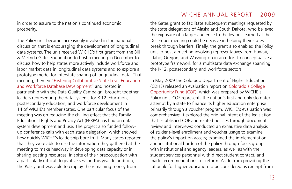in order to assure to the nation's continued economic prosperity.

The Policy unit became increasingly involved in the national discussion that is encouraging the development of longitudinal data systems. The unit received WICHE's first grant from the Bill & Melinda Gates Foundation to host a meeting in December to discuss how to help states more actively include workforce and labor market data in longitudinal data systems and to explore a prototype model for interstate sharing of longitudinal data. That meeting, themed "Fostering Collaborative State-Level Education and Workforce Database Development" and hosted in partnership with the Data Quality Campaign, brought together leaders representing the data systems for K-12 education, postsecondary education, and workforce development in 14 of WICHE's member states. One particular focus of the meeting was on reducing the chilling effect that the Family Educational Rights and Privacy Act (FERPA) has had on data system development and use. The project also funded followup conference calls with each state delegation, which showed how quickly WICHE's leadership bore fruit. Many states reported that they were able to use the information they gathered at the meeting to make headway in developing data capacity or in sharing existing resources, in spite of their preoccupation with a particularly difficult legislative session this year. In addition, the Policy unit was able to employ the remaining money from

the Gates grant to facilitate subsequent meetings requested by the state delegations of Alaska and South Dakota, who believed the exposure of a larger audience to the lessons learned at the December meeting could be decisive in helping their states break through barriers. Finally, the grant also enabled the Policy unit to host a meeting involving representatives from Hawaii, Idaho, Oregon, and Washington in an effort to conceptualize a prototype framework for a multistate data exchange spanning the K-12, postsecondary, and workforce sectors.

In May 2009 the Colorado Department of Higher Education (CDHE) released an evaluation report on Colorado's College Opportunity Fund (COF), which was prepared by WICHE's Policy unit. COF represents the nation's first and only (to date) attempt by a state to finance its higher education enterprise primarily through a voucher program. WICHE's evaluation was comprehensive: it explored the original intent of the legislation that established COF and related policies through document review and interviews; conducted an exhaustive data analysis of student-level enrollment and voucher usage to examine the policy's impact on access; examined the implementation and institutional burden of the policy through focus groups with institutional and agency leaders, as well as with the student services personnel with direct student contact; and made recommendations for reform. Aside from providing the rationale for higher education to be considered as exempt from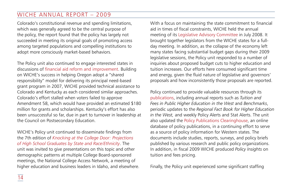Colorado's constitutional revenue and spending limitations, which was generally agreed to be the central purpose of the policy, the report found that the policy has largely not succeeded in meeting its original goals of promoting access among targeted populations and compelling institutions to adopt more consciously market-based behaviors.

The Policy unit also continued to engage interested states in discussions of financial aid reform and improvement. Building on WICHE's success in helping Oregon adopt a "shared responsibility" model for delivering its principal need-based grant program in 2007, WICHE provided technical assistance to Colorado and Kentucky as each considered similar approaches. Colorado's effort stalled when voters failed to approve Amendment 58, which would have provided an estimated \$180 million for grants and scholarships. Kentucky's effort has also been unsuccessful so far, due in part to turnover in leadership at the Council on Postsecondary Education.

WICHE's Policy unit continued to disseminate findings from the 7th edition of *Knocking at the College Door: Projections of High School Graduates by State and Race/Ethnicity*. The unit was invited to give presentations on this topic and other demographic patterns at multiple College Board-sponsored meetings, the National College Access Network, a meeting of higher education and business leaders in Idaho, and elsewhere.

With a focus on maintaining the state commitment to financial aid in times of fiscal constraints, WICHE held the annual meeting of its Legislative Advisory Committee in July 2008. It brought together legislators from the WICHE states for a fullday meeting. In addition, as the collapse of the economy left many states facing substantial budget gaps during their 2009 legislative sessions, the Policy unit responded to a number of inquiries about proposed budget cuts to higher education and tuition increases. Our efforts here consumed significant time and energy, given the fluid nature of legislative and governors' proposals and how inconsistently those proposals are reported.

Policy continued to provide valuable resources through its publications, including annual reports such as *Tuition and Fees in Public Higher Education in the West* and *Benchmarks*, periodic updates to the *Regional Fact Book for Higher Education in the West,* and weekly Policy Alerts and Stat Alerts. The unit also updated the Policy Publications Clearinghouse, an online database of policy publications, in a continuing effort to serve as a source of policy information for Western states. The documents include studies, reports, surveys, and policy briefs published by various research and public policy organizations. In addition, in fiscal 2009 WICHE produced *Policy Insights* on tuition and fees pricing.

Finally, the Policy unit experienced some significant staffing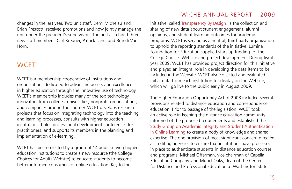changes in the last year. Two unit staff, Demi Michelau and Brian Prescott, received promotions and now jointly manage the unit under the president's supervision. The unit also hired three new staff members: Carl Kreuger, Patrick Lane, and Brandi Van Horn.

# **WCET**

WCET is a membership cooperative of institutions and organizations dedicated to advancing access and excellence in higher education through the innovative use of technology. WCET's membership includes many of the top technology innovators from colleges, universities, nonprofit organizations, and companies around the country. WCET develops research projects that focus on integrating technology into the teaching and learning processes, consults with higher education institutions, holds professional development conferences for practitioners, and supports its members in the planning and implementation of e-learning.

WCET has been selected by a group of 14 adult-serving higher education institutions to create a new resource (the College Choices for Adults Website) to educate students to become better-informed consumers of online education. Key to the

initiative, called Transparency By Design, is the collection and sharing of new data about student engagement, alumni opinions, and student learning outcomes for academic programs. WCET is serving as a neutral, third-party organization to uphold the reporting standards of the initiative. Lumina Foundation for Education supplied start-up funding for the College Choices Website and project development. During fiscal year 2009, WCET has provided project direction for this initiative and played an integral role in developing the data items to be included in the Website. WCET also collected and evaluated initial data from each institution for display on the Website, which will go live to the public early in August 2009.

The Higher Education Opportunity Act of 2008 included several provisions related to distance education and correspondence education. Prior to passage of the legislation, WCET took an active role in keeping the distance education community informed of the proposed requirements and established the Study Group on Academic Integrity and Student Authentication in Online Learning to create a body of knowledge and shared expertise. The one provision of most significant concern directed accrediting agencies to ensure that institutions have processes in place to authenticate students in distance education courses and programs. Michael Offerman, vice chairman of Capella Education Company, and Muriel Oaks, dean of the Center for Distance and Professional Education at Washington State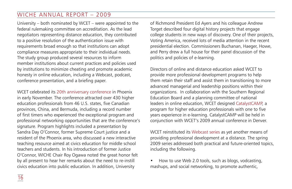University – both nominated by WCET – were appointed to the federal rulemaking committee on accreditation. As the lead negotiators representing distance education, they contributed to a positive resolution of the authentication issue with requirements broad enough so that institutions can adopt compliance measures appropriate to their individual needs. The study group produced several resources to inform member institutions about current practices and policies used by institutions to minimize cheating and promote academic honesty in online education, including a Webcast, podcast, conference presentation, and a briefing paper.

WCET celebrated its 20th anniversary conference in Phoenix in early November. The conference attracted over 430 higher education professionals from 46 U.S. states, five Canadian provinces, China, and Bermuda, including a record number of first timers who experienced the exceptional program and professional networking opportunities that are the conference's signature. Program highlights included a presentation by Sandra Day O'Connor, former Supreme Court justice and a resident of the Phoenix area, who discussed a new interactive teaching resource aimed at civics education for middle school teachers and students. In his introduction of former Justice O'Connor, WICHE Chair Roy Ogawa noted the great honor felt by all present to hear her remarks about the need to re-instill civics education into public education. In addition, University

of Richmond President Ed Ayers and his colleague Andrew Torget described four digital history projects that engage college students in new ways of discovery. One of their projects, Voting America, received lots of media attention in the recent presidential election. Commissioners Buchanan, Haeger, Howe, and Perry drew a full house for their panel discussion of the politics and policies of e-learning.

Directors of online and distance education asked WCET to provide more professional development programs to help them retain their staff and assist them in transitioning to more advanced managerial and leadership positions within their organizations. In collaboration with the Southern Regional Education Board and a planning committee of national leaders in online education, WCET designed CatalystCAMP, a program for higher education professionals with one to five years experience in e-learning. CatalystCAMP will be held in conjunction with WCET's 2009 annual conference in Denver.

WCET reinstituted its Webcast series as yet another means of providing professional development at a distance. The spring 2009 series addressed both practical and future-oriented topics, including the following.

• How to use Web 2.0 tools, such as blogs, vodcasting, mashups, and social networking, to promote authentic,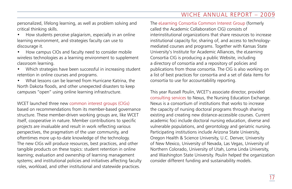personalized, lifelong learning, as well as problem solving and critical thinking skills.

- How students perceive plagiarism, especially in an online learning environment, and strategies faculty can use to discourage it.
- How campus CIOs and faculty need to consider mobile wireless technologies as a learning environment to supplement classroom learning.
- Which strategies have been successful in increasing student retention in online courses and programs.
- What lessons can be learned from Hurricane Katrina, the North Dakota floods, and other unexpected disasters to keep campuses "open" using online learning infrastructure.

WCET launched three new common interest groups (CIGs) based on recommendations from its member-based governance structure. These member-driven working groups are, like WCET itself, cooperative in nature. Member contributions to specific projects are invaluable and result in work reflecting various perspectives, the pragmatism of the user community, and oftentimes more up-to-date knowledge of the technology. The new CIGs will produce resources, best practices, and other tangible products on these topics: student retention in online learning; evaluation and ownership of learning management systems; and institutional policies and initiatives affecting faculty roles, workload, and other institutional and statewide practices.

The eLearning Consortia Common Interest Group (formerly called the Academic Collaboration CIG) consists of interinstitutional organizations that share resources to increase institutional capacity for, sharing of, and access to technologymediated courses and programs. Together with Kansas State University's Institute for Academic Alliances, the eLearning Consortia CIG is producing a public Website, including a directory of consortia and a repository of policies and publications from those consortia. The CIG is also working on a list of best practices for consortia and a set of data items for consortia to use for accountability reporting.

This year Russell Poulin, WCET's associate director, provided consulting services to Nexus, the Nursing Education Exchange. Nexus is a consortium of institutions that works to increase the capacity of nursing doctoral programs through sharing existing and creating new distance-accessible courses. Current academic foci include doctoral nursing education, diverse and vulnerable populations, and gerontology and geriatric nursing. Participating institutions include Arizona State University, Oregon Health & Science University, U.C. Denver, University of New Mexico, University of Nevada, Las Vegas, University of Northern Colorado, University of Utah, Loma Linda University, and Washington State University. Poulin helped the organization consider different funding and sustainability models.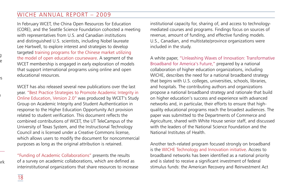In February WCET, the China Open Resources for Education (CORE), and the Seattle Science Foundation cohosted a meeting with representatives from U.S. and Canadian institutions and distinguished U.S. scientists, including Nobel laureate Lee Hartwell, to explore interest and strategies to develop targeted training programs for the Chinese market utilizing the model of open education courseware. A segment of the WCET membership is engaged in early exploration of models that support international programs using online and open educational resources.

WCET has also released several new publications over the last year. "Best Practice Strategies to Promote Academic Integrity in Online Education, Version 2.0" was produced by WCET's Study Group on Academic Integrity and Student Authentication in response to the Higher Education Opportunity Act provision related to student verification. This document reflects the combined contributions of WCET, the UT TeleCampus of the University of Texas System, and the Instructional Technology Council and is licensed under a Creative Commons license, which allows users to modify the document for noncommercial purposes as long as the original attribution is retained.

"Funding of Academic Collaborations" presents the results of a survey on academic collaborations, which are defined as interinstitutional organizations that share resources to increase institutional capacity for, sharing of, and access to technologymediated courses and programs. Findings focus on sources of revenue, amount of funding, and effective funding models. U.S., Canadian, and multistate/province organizations were included in the study.

A white paper, "Unleashing Waves of Innovation: Transformative Broadband for America's Future," prepared by a national collaboration of higher education organizations, including WICHE, describes the need for a national broadband strategy that begins with U.S. colleges, universities, schools, libraries, and hospitals. The contributing authors and organizations propose a national broadband strategy and rationale that build on higher education's success and experience with advanced networks and, in particular, their efforts to ensure that highquality educational programs reach the broadest audiences. The paper was submitted to the Departments of Commerce and Agriculture, shared with White House senior staff, and discussed with the leaders of the National Science Foundation and the National Institutes of Health.

Another tech-related program focused strongly on broadband is the WICHE Technology and Innovation initiative. Access to broadband networks has been identified as a national priority and is slated to receive a significant investment of federal stimulus funds: the American Recovery and Reinvestment Act

visits and participation in each other's conferences; exploring

content can be shared.

 $\mathbf{I}$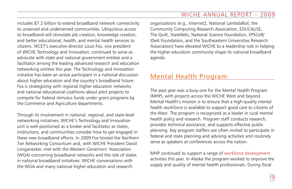includes \$7.2 billion to extend broadband network connectivity to unserved and underserved communities. Ubiquitous access to broadband will stimulate job creation, knowledge creation, and better educational, health, and mental health services to citizens. WCET's executive director Louis Fox, vice president of WICHE Technology and Innovation, continued to serve as advocate with state and national government entities and a facilitator among the leading advanced research and education networking entities this year. The Technology and Innovation initiative has been an active participant in a national discussion about higher education and the country's broadband future. Fox is strategizing with regional higher education networks and national educational coalitions about pilot projects to compete for federal stimulus funds under grant programs by the Commerce and Agriculture departments.

Through its involvement in national, regional, and state-level networking initiatives, WICHE's Technology and Innovation unit is well-positioned as a broker and facilitator as states, institutions, and communities consider how to get engaged in these new broadband efforts. In 2009 Fox hosted the Northern Tier Networking Consortium and, with WICHE President David Longanecker, met with the Western Governors' Association (WGA) concerning broadband networks and the role of states in national broadband initiatives. WICHE conversations with the WGA and many national higher education and research

organizations (e.g., Internet2, National LambdaRail, the Community Computing Research Association, EDUCAUSE, The Quilt, StateNets, National Science Foundation, EPSCoR/ IDeA Foundation, and the Southeastern Universities Research Association) have elevated WICHE to a leadership role in helping the higher education community shape its national broadband agenda.

# Mental Health Program

The past year was a busy one for the Mental Health Program (MHP), with projects across the WICHE West and beyond. Mental Health's mission is to ensure that a high-quality mental health workforce is available to support good care to citizens of the West. The program is recognized as a leader in rural mental health policy and research. Program staff conducts research, provides technical assistance, and supports effective public planning. Key program staffers are often invited to participate in federal and state planning and advising activities and routinely serve as speakers at conferences across the nation.

MHP continued to support a range of workforce development activities this year. In Alaska the program worked to improve the supply and quality of mental health professionals. During fiscal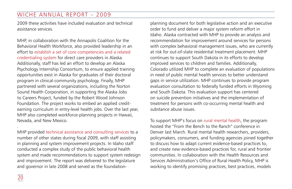2009 these activities have included evaluation and technical assistance services.

MHP, in collaboration with the Annapolis Coalition for the Behavioral Health Workforce, also provided leadership in an effort to establish a set of core competencies and a related credentialing system for direct care providers in Alaska. Additionally, staff has led an effort to develop an Alaska Psychology Internship Consortium, to ensure applied training opportunities exist in Alaska for graduates of their doctoral program in clinical-community psychology. Finally, MHP partnered with several organizations, including the Norton Sound Health Corporation, in supporting the Alaska Jobs to Careers Project, funded by the Robert Wood Johnson Foundation. The project works to embed an applied creditearning curriculum in entry-level health jobs. Over the last year, MHP also completed workforce-planning projects in Hawaii, Nevada, and New Mexico.

MHP provided technical assistance and consulting services to a number of other states during fiscal 2009, with staff assisting in planning and system improvement projects. In Idaho staff conducted a complex study of the public behavioral health system and made recommendations to support system redesign and improvement. The report was delivered to the legislature and governor in late 2008 and served as the foundation-

planning document for both legislative action and an executive order to fund and deliver a major system reform effort in Idaho. Alaska contracted with MHP to provide an analysis and recommendation for improvement around services for persons with complex behavioral management issues, who are currently at risk for out-of-state residential treatment placement. MHP continues to support South Dakota in its efforts to develop improved services to children and families. Additionally, Colorado utilized MHP to complete an evaluation of populations in need of public mental health services to better understand gaps in service utilization. MHP continues to provide program evaluation consultation to federally funded efforts in Wyoming and South Dakota. This evaluation support has centered on suicide prevention initiatives and the implementation of treatment for persons with co-occurring mental health and substance abuse issues.

To support MHP's focus on rural mental health, the program hosted the "From the Bench to the Ranch" conference in Denver last March. Rural mental health researchers, providers, policymakers, consumers, and funding agencies joined together to discuss how to adapt current evidence-based practices to, and create new evidence-based practices for, rural and frontier communities. In collaboration with the Health Resources and Services Administration's Office of Rural Health Policy, MHP is working to identify promising practices, best practices, models

.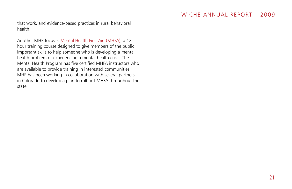that work, and evidence-based practices in rural behavioral health.

Another MHP focus is Mental Health First Aid (MHFA), a 12 hour training course designed to give members of the public important skills to help someone who is developing a mental health problem or experiencing a mental health crisis. The Mental Health Program has five certified MHFA instructors who are available to provide training in interested communities. MHP has been working in collaboration with several partners in Colorado to develop a plan to roll-out MHFA throughout the state.